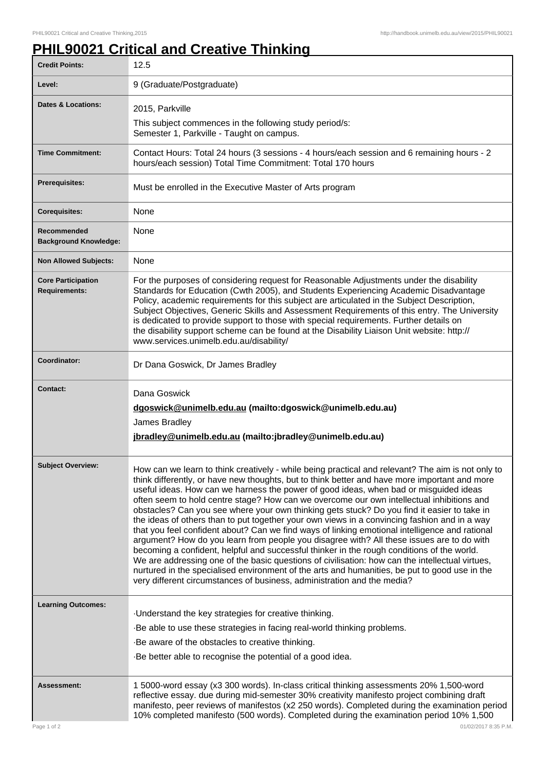## **PHIL90021 Critical and Creative Thinking**

| <b>Credit Points:</b>                             | 12.5                                                                                                                                                                                                                                                                                                                                                                                                                                                                                                                                                                                                                                                                                                                                                                                                                                                                                                                                                                                                                                                                                                                                                                |
|---------------------------------------------------|---------------------------------------------------------------------------------------------------------------------------------------------------------------------------------------------------------------------------------------------------------------------------------------------------------------------------------------------------------------------------------------------------------------------------------------------------------------------------------------------------------------------------------------------------------------------------------------------------------------------------------------------------------------------------------------------------------------------------------------------------------------------------------------------------------------------------------------------------------------------------------------------------------------------------------------------------------------------------------------------------------------------------------------------------------------------------------------------------------------------------------------------------------------------|
| Level:                                            | 9 (Graduate/Postgraduate)                                                                                                                                                                                                                                                                                                                                                                                                                                                                                                                                                                                                                                                                                                                                                                                                                                                                                                                                                                                                                                                                                                                                           |
| <b>Dates &amp; Locations:</b>                     | 2015, Parkville                                                                                                                                                                                                                                                                                                                                                                                                                                                                                                                                                                                                                                                                                                                                                                                                                                                                                                                                                                                                                                                                                                                                                     |
|                                                   | This subject commences in the following study period/s:<br>Semester 1, Parkville - Taught on campus.                                                                                                                                                                                                                                                                                                                                                                                                                                                                                                                                                                                                                                                                                                                                                                                                                                                                                                                                                                                                                                                                |
| <b>Time Commitment:</b>                           | Contact Hours: Total 24 hours (3 sessions - 4 hours/each session and 6 remaining hours - 2<br>hours/each session) Total Time Commitment: Total 170 hours                                                                                                                                                                                                                                                                                                                                                                                                                                                                                                                                                                                                                                                                                                                                                                                                                                                                                                                                                                                                            |
| <b>Prerequisites:</b>                             | Must be enrolled in the Executive Master of Arts program                                                                                                                                                                                                                                                                                                                                                                                                                                                                                                                                                                                                                                                                                                                                                                                                                                                                                                                                                                                                                                                                                                            |
| <b>Corequisites:</b>                              | None                                                                                                                                                                                                                                                                                                                                                                                                                                                                                                                                                                                                                                                                                                                                                                                                                                                                                                                                                                                                                                                                                                                                                                |
| Recommended<br><b>Background Knowledge:</b>       | None                                                                                                                                                                                                                                                                                                                                                                                                                                                                                                                                                                                                                                                                                                                                                                                                                                                                                                                                                                                                                                                                                                                                                                |
| <b>Non Allowed Subjects:</b>                      | None                                                                                                                                                                                                                                                                                                                                                                                                                                                                                                                                                                                                                                                                                                                                                                                                                                                                                                                                                                                                                                                                                                                                                                |
| <b>Core Participation</b><br><b>Requirements:</b> | For the purposes of considering request for Reasonable Adjustments under the disability<br>Standards for Education (Cwth 2005), and Students Experiencing Academic Disadvantage<br>Policy, academic requirements for this subject are articulated in the Subject Description,<br>Subject Objectives, Generic Skills and Assessment Requirements of this entry. The University<br>is dedicated to provide support to those with special requirements. Further details on<br>the disability support scheme can be found at the Disability Liaison Unit website: http://<br>www.services.unimelb.edu.au/disability/                                                                                                                                                                                                                                                                                                                                                                                                                                                                                                                                                    |
| Coordinator:                                      | Dr Dana Goswick, Dr James Bradley                                                                                                                                                                                                                                                                                                                                                                                                                                                                                                                                                                                                                                                                                                                                                                                                                                                                                                                                                                                                                                                                                                                                   |
| <b>Contact:</b>                                   | Dana Goswick<br>dgoswick@unimelb.edu.au (mailto:dgoswick@unimelb.edu.au)<br>James Bradley<br>jbradley@unimelb.edu.au (mailto: jbradley@unimelb.edu.au)                                                                                                                                                                                                                                                                                                                                                                                                                                                                                                                                                                                                                                                                                                                                                                                                                                                                                                                                                                                                              |
| <b>Subject Overview:</b>                          | How can we learn to think creatively - while being practical and relevant? The aim is not only to<br>think differently, or have new thoughts, but to think better and have more important and more<br>useful ideas. How can we harness the power of good ideas, when bad or misguided ideas<br>often seem to hold centre stage? How can we overcome our own intellectual inhibitions and<br>obstacles? Can you see where your own thinking gets stuck? Do you find it easier to take in<br>the ideas of others than to put together your own views in a convincing fashion and in a way<br>that you feel confident about? Can we find ways of linking emotional intelligence and rational<br>argument? How do you learn from people you disagree with? All these issues are to do with<br>becoming a confident, helpful and successful thinker in the rough conditions of the world.<br>We are addressing one of the basic questions of civilisation: how can the intellectual virtues,<br>nurtured in the specialised environment of the arts and humanities, be put to good use in the<br>very different circumstances of business, administration and the media? |
| <b>Learning Outcomes:</b>                         | Understand the key strategies for creative thinking.<br>-Be able to use these strategies in facing real-world thinking problems.<br>-Be aware of the obstacles to creative thinking.<br>Be better able to recognise the potential of a good idea.                                                                                                                                                                                                                                                                                                                                                                                                                                                                                                                                                                                                                                                                                                                                                                                                                                                                                                                   |
| Assessment:                                       | 1 5000-word essay (x3 300 words). In-class critical thinking assessments 20% 1,500-word<br>reflective essay. due during mid-semester 30% creativity manifesto project combining draft<br>manifesto, peer reviews of manifestos (x2 250 words). Completed during the examination period<br>10% completed manifesto (500 words). Completed during the examination period 10% 1,500                                                                                                                                                                                                                                                                                                                                                                                                                                                                                                                                                                                                                                                                                                                                                                                    |
| Page 1 of 2                                       | 01/02/2017 8:35 P.M.                                                                                                                                                                                                                                                                                                                                                                                                                                                                                                                                                                                                                                                                                                                                                                                                                                                                                                                                                                                                                                                                                                                                                |